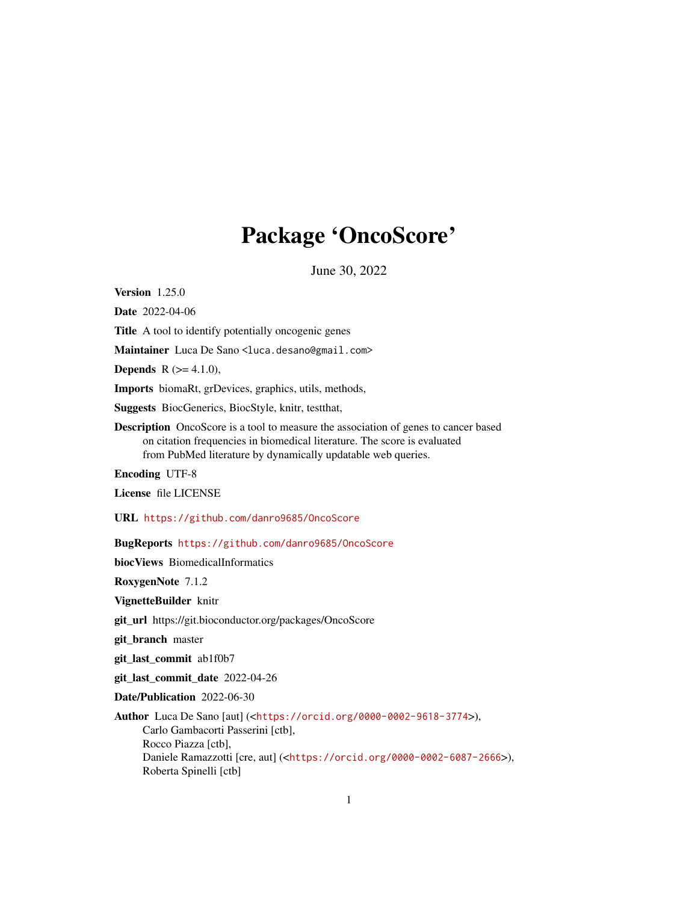# Package 'OncoScore'

June 30, 2022

Version 1.25.0

Date 2022-04-06

Title A tool to identify potentially oncogenic genes

Maintainer Luca De Sano <luca.desano@gmail.com>

**Depends** R  $(>= 4.1.0)$ ,

Imports biomaRt, grDevices, graphics, utils, methods,

Suggests BiocGenerics, BiocStyle, knitr, testthat,

Description OncoScore is a tool to measure the association of genes to cancer based on citation frequencies in biomedical literature. The score is evaluated from PubMed literature by dynamically updatable web queries.

Encoding UTF-8

License file LICENSE

URL <https://github.com/danro9685/OncoScore>

BugReports <https://github.com/danro9685/OncoScore>

biocViews BiomedicalInformatics

RoxygenNote 7.1.2

VignetteBuilder knitr

git\_url https://git.bioconductor.org/packages/OncoScore

git\_branch master

git\_last\_commit ab1f0b7

git last commit date 2022-04-26

Date/Publication 2022-06-30

Author Luca De Sano [aut] (<<https://orcid.org/0000-0002-9618-3774>>), Carlo Gambacorti Passerini [ctb], Rocco Piazza [ctb], Daniele Ramazzotti [cre, aut] (<<https://orcid.org/0000-0002-6087-2666>>), Roberta Spinelli [ctb]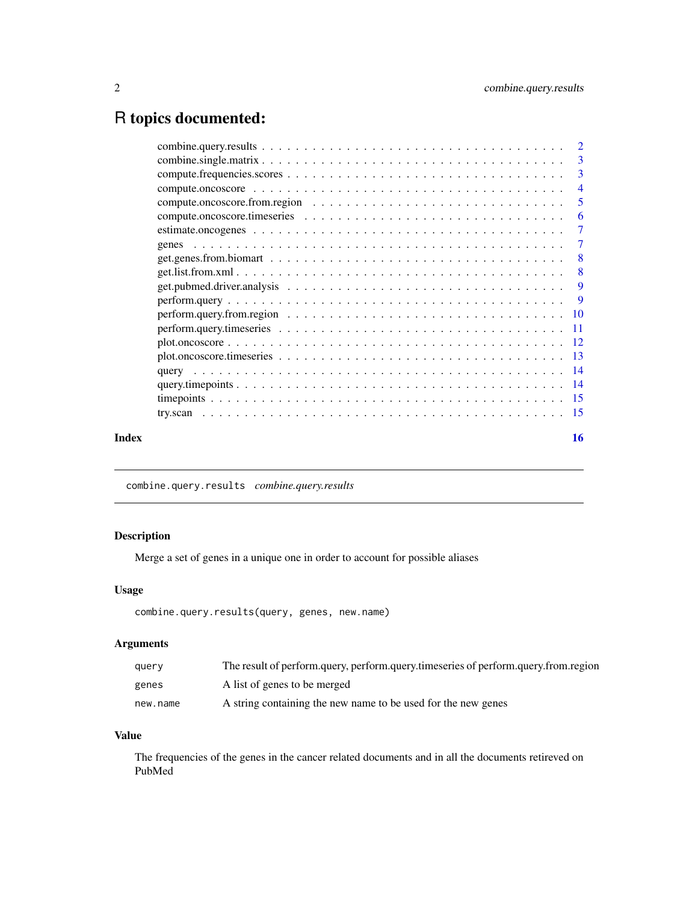## <span id="page-1-0"></span>R topics documented:

|       |                                                                                                                              | -3                         |
|-------|------------------------------------------------------------------------------------------------------------------------------|----------------------------|
|       |                                                                                                                              |                            |
|       |                                                                                                                              | $\overline{\phantom{0}}$ 5 |
|       |                                                                                                                              |                            |
|       |                                                                                                                              |                            |
|       |                                                                                                                              |                            |
|       |                                                                                                                              |                            |
|       |                                                                                                                              |                            |
|       |                                                                                                                              |                            |
|       | $perform. query \dots \dots \dots \dots \dots \dots \dots \dots \dots \dots \dots \dots \dots \dots \dots \dots \dots \dots$ |                            |
|       |                                                                                                                              |                            |
|       |                                                                                                                              |                            |
|       |                                                                                                                              |                            |
|       |                                                                                                                              |                            |
|       |                                                                                                                              |                            |
|       |                                                                                                                              |                            |
|       |                                                                                                                              |                            |
|       |                                                                                                                              |                            |
| Index |                                                                                                                              | 16                         |

combine.query.results *combine.query.results*

#### Description

Merge a set of genes in a unique one in order to account for possible aliases

#### Usage

```
combine.query.results(query, genes, new.name)
```
#### Arguments

| query    | The result of perform.query, perform.query.timeseries of perform.query.from.region |
|----------|------------------------------------------------------------------------------------|
| genes    | A list of genes to be merged                                                       |
| new.name | A string containing the new name to be used for the new genes                      |

#### Value

The frequencies of the genes in the cancer related documents and in all the documents retireved on PubMed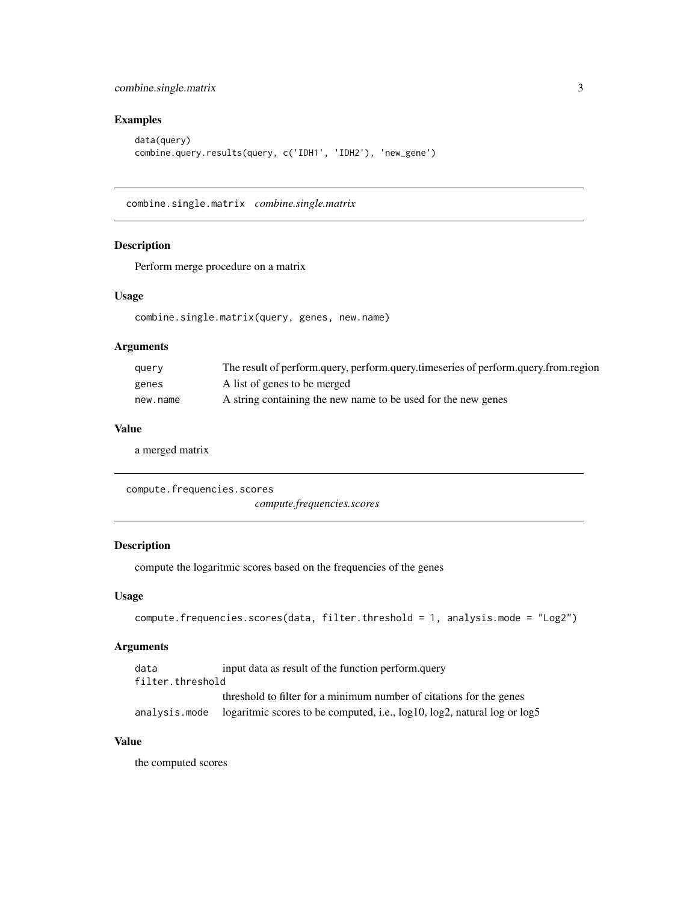#### <span id="page-2-0"></span>combine.single.matrix 3

#### Examples

```
data(query)
combine.query.results(query, c('IDH1', 'IDH2'), 'new_gene')
```
combine.single.matrix *combine.single.matrix*

#### Description

Perform merge procedure on a matrix

#### Usage

combine.single.matrix(query, genes, new.name)

#### Arguments

| query    | The result of perform.query, perform.query.timeseries of perform.query.from.region |
|----------|------------------------------------------------------------------------------------|
| genes    | A list of genes to be merged                                                       |
| new.name | A string containing the new name to be used for the new genes                      |

#### Value

a merged matrix

compute.frequencies.scores *compute.frequencies.scores*

#### Description

compute the logaritmic scores based on the frequencies of the genes

#### Usage

```
compute.frequencies.scores(data, filter.threshold = 1, analysis.mode = "Log2")
```
#### Arguments

| data             | input data as result of the function perform.query                                      |
|------------------|-----------------------------------------------------------------------------------------|
| filter.threshold |                                                                                         |
|                  | threshold to filter for a minimum number of citations for the genes                     |
|                  | analysis. mode logaritmic scores to be computed, i.e., log10, log2, natural log or log5 |

#### Value

the computed scores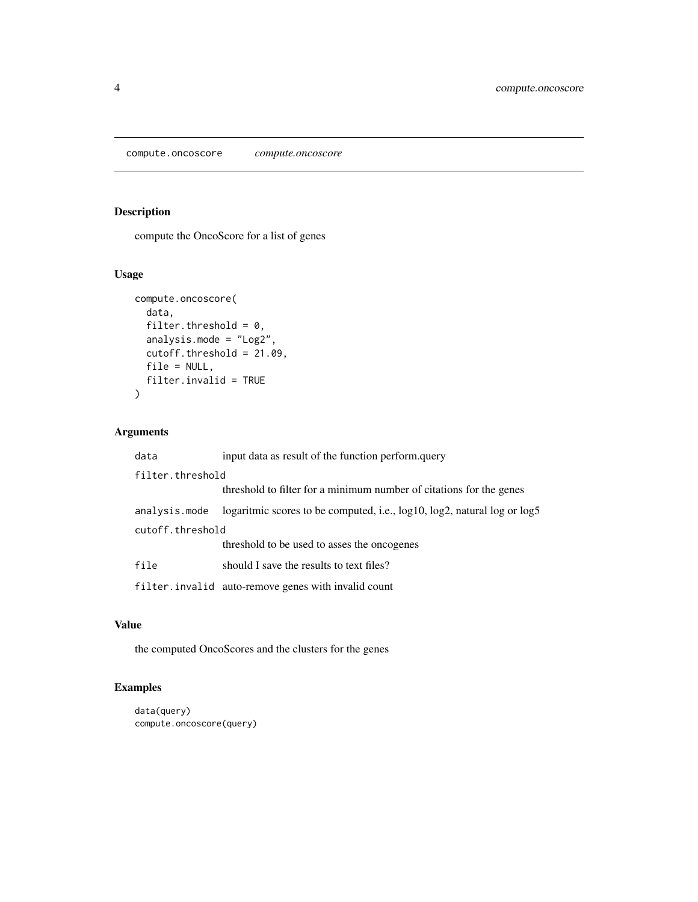<span id="page-3-0"></span>compute.oncoscore *compute.oncoscore*

#### Description

compute the OncoScore for a list of genes

#### Usage

```
compute.oncoscore(
  data,
  filter.threshold = 0,
 analysis.mode = "Log2",
 cutoff.threshold = 21.09,
 file = NULL,
 filter.invalid = TRUE
\mathcal{L}
```
### Arguments

| data             | input data as result of the function perform.query                       |  |
|------------------|--------------------------------------------------------------------------|--|
| filter.threshold |                                                                          |  |
|                  | threshold to filter for a minimum number of citations for the genes      |  |
| analysis.mode    | logaritmic scores to be computed, i.e., log10, log2, natural log or log5 |  |
| cutoff.threshold |                                                                          |  |
|                  | threshold to be used to asses the oncogenes                              |  |
| file             | should I save the results to text files?                                 |  |
|                  | filter.invalid auto-remove genes with invalid count                      |  |

#### Value

the computed OncoScores and the clusters for the genes

```
data(query)
compute.oncoscore(query)
```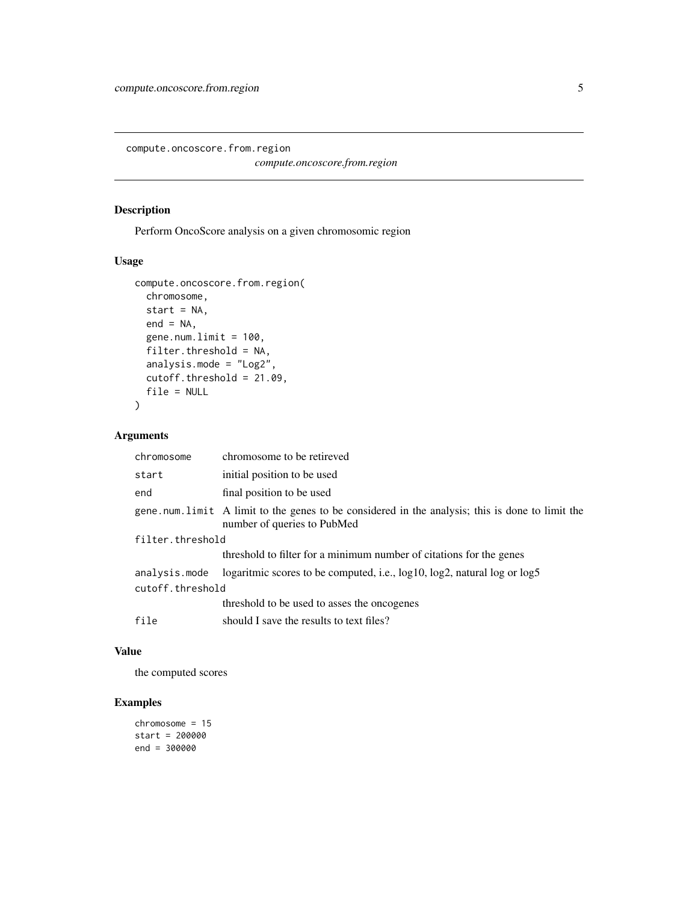<span id="page-4-0"></span>compute.oncoscore.from.region

*compute.oncoscore.from.region*

#### Description

Perform OncoScore analysis on a given chromosomic region

#### Usage

```
compute.oncoscore.from.region(
 chromosome,
 start = NA,
 end = NA,
 gene.num.limit = 100,
 filter.threshold = NA,
 analysis.mode = "Log2",
 cutoff.threshold = 21.09,file = NULL
)
```
#### Arguments

| chromosome       | chromosome to be retireved                                                                                                     |  |
|------------------|--------------------------------------------------------------------------------------------------------------------------------|--|
| start            | initial position to be used                                                                                                    |  |
| end              | final position to be used                                                                                                      |  |
|                  | gene num limit A limit to the genes to be considered in the analysis; this is done to limit the<br>number of queries to PubMed |  |
| filter.threshold |                                                                                                                                |  |
|                  | threshold to filter for a minimum number of citations for the genes                                                            |  |
| analysis.mode    | logaritmic scores to be computed, i.e., log10, log2, natural log or log5                                                       |  |
| cutoff.threshold |                                                                                                                                |  |
|                  | threshold to be used to asses the oncogenes                                                                                    |  |
| file             | should I save the results to text files?                                                                                       |  |

#### Value

the computed scores

```
chromosome = 15
start = 200000
end = 300000
```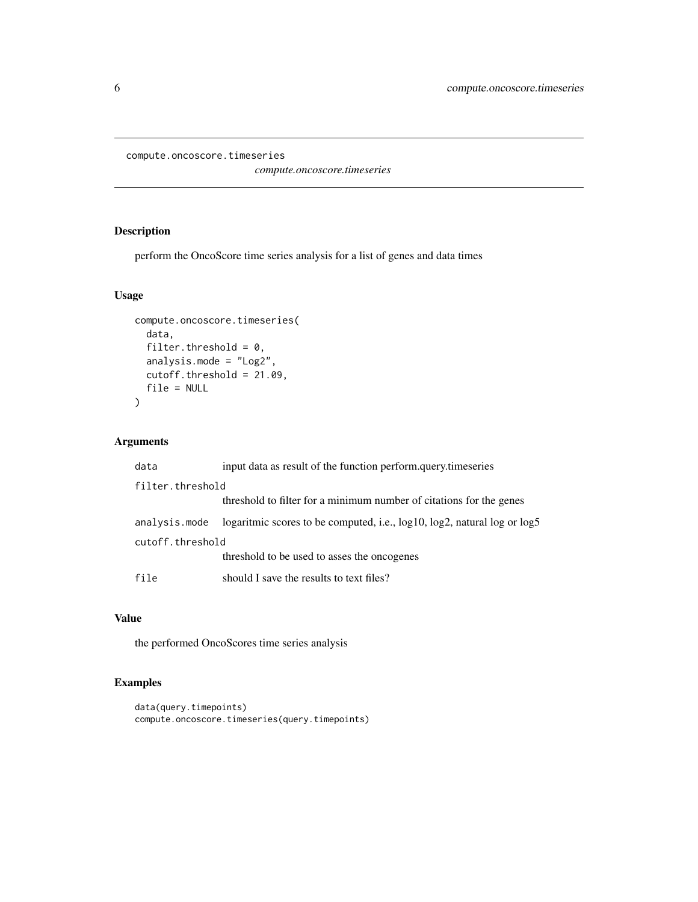```
compute.oncoscore.timeseries
```
*compute.oncoscore.timeseries*

#### Description

perform the OncoScore time series analysis for a list of genes and data times

#### Usage

```
compute.oncoscore.timeseries(
  data,
  filter.threshold = 0,
  analysis.mode = "Log2",
 cutoff.threshold = 21.09,
 file = NULL
\mathcal{L}
```
#### Arguments

| data             | input data as result of the function perform.query.timeseries            |
|------------------|--------------------------------------------------------------------------|
| filter.threshold |                                                                          |
|                  | threshold to filter for a minimum number of citations for the genes      |
| analysis.mode    | logaritmic scores to be computed, i.e., log10, log2, natural log or log5 |
| cutoff.threshold |                                                                          |
|                  | threshold to be used to asses the oncogenes                              |
| file             | should I save the results to text files?                                 |

#### Value

the performed OncoScores time series analysis

```
data(query.timepoints)
compute.oncoscore.timeseries(query.timepoints)
```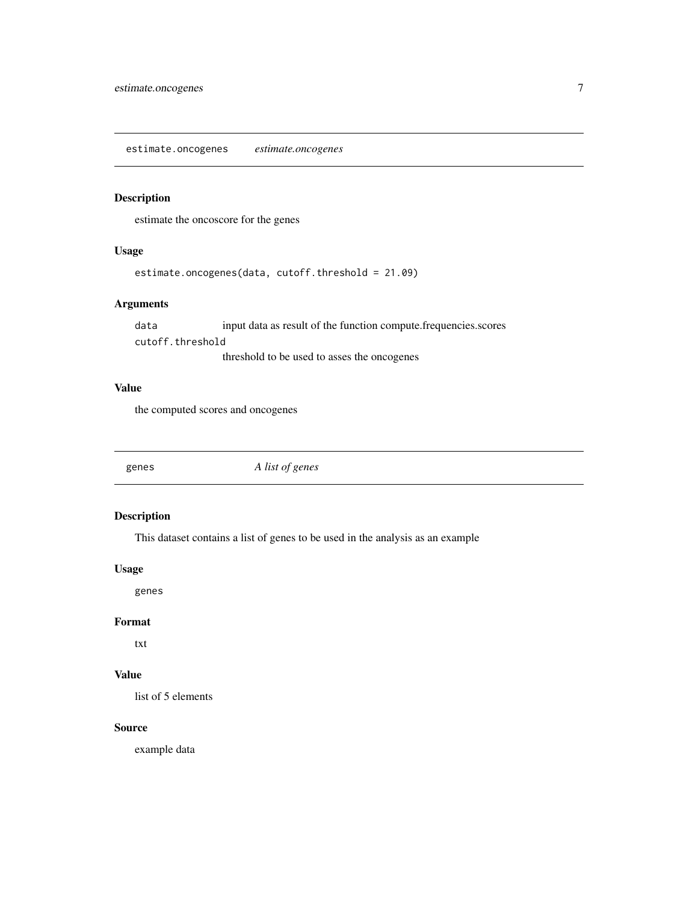<span id="page-6-0"></span>estimate.oncogenes *estimate.oncogenes*

#### Description

estimate the oncoscore for the genes

#### Usage

estimate.oncogenes(data, cutoff.threshold = 21.09)

#### Arguments

data input data as result of the function compute.frequencies.scores cutoff.threshold threshold to be used to asses the oncogenes

#### Value

the computed scores and oncogenes

genes *A list of genes*

#### Description

This dataset contains a list of genes to be used in the analysis as an example

#### Usage

genes

#### Format

txt

#### Value

list of 5 elements

#### Source

example data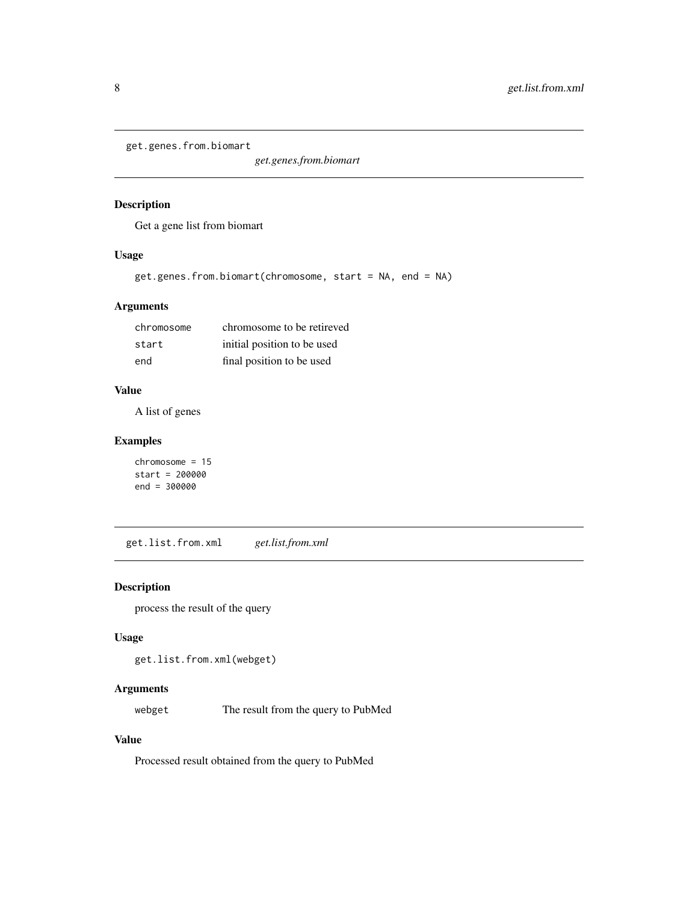```
get.genes.from.biomart
```
*get.genes.from.biomart*

#### Description

Get a gene list from biomart

#### Usage

```
get.genes.from.biomart(chromosome, start = NA, end = NA)
```
### Arguments

| chromosome | chromosome to be retireved  |
|------------|-----------------------------|
| start      | initial position to be used |
| end        | final position to be used   |

#### Value

A list of genes

#### Examples

```
chromosome = 15
start = 200000
end = 300000
```
get.list.from.xml *get.list.from.xml*

#### Description

process the result of the query

#### Usage

get.list.from.xml(webget)

#### Arguments

webget The result from the query to PubMed

#### Value

Processed result obtained from the query to PubMed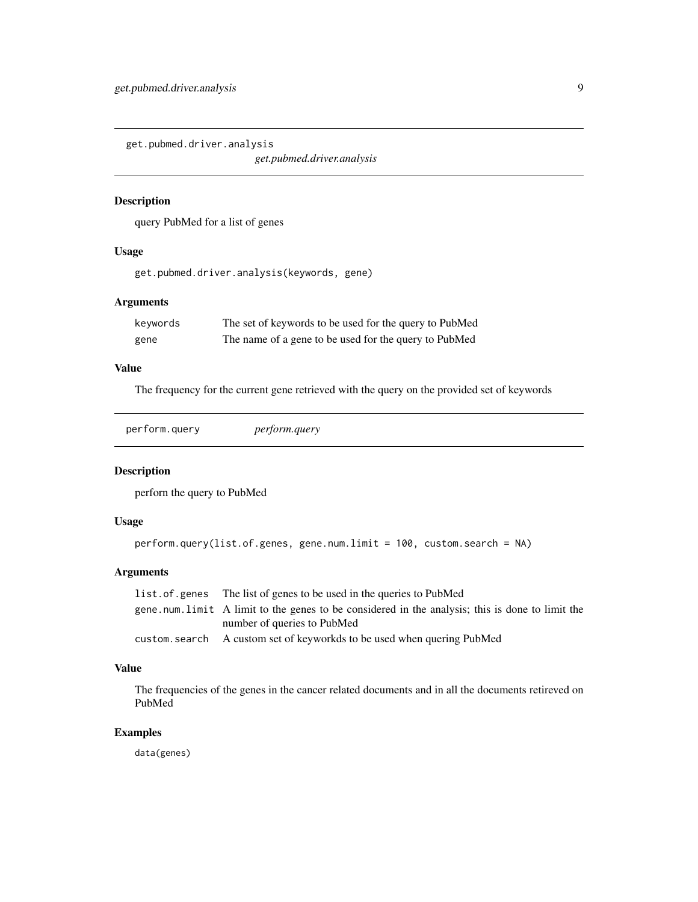<span id="page-8-0"></span>get.pubmed.driver.analysis

*get.pubmed.driver.analysis*

#### Description

query PubMed for a list of genes

### Usage

get.pubmed.driver.analysis(keywords, gene)

#### Arguments

| keywords | The set of keywords to be used for the query to PubMed |
|----------|--------------------------------------------------------|
| gene     | The name of a gene to be used for the query to PubMed  |

#### Value

The frequency for the current gene retrieved with the query on the provided set of keywords

| perform.query | <i>perform.query</i> |
|---------------|----------------------|
|               |                      |

#### Description

perforn the query to PubMed

#### Usage

```
perform.query(list.of.genes, gene.num.limit = 100, custom.search = NA)
```
#### Arguments

| list of genes The list of genes to be used in the queries to PubMed                             |
|-------------------------------------------------------------------------------------------------|
| gene num limit A limit to the genes to be considered in the analysis; this is done to limit the |
| number of queries to PubMed                                                                     |
| custom. search A custom set of keyworkds to be used when quering PubMed                         |

#### Value

The frequencies of the genes in the cancer related documents and in all the documents retireved on PubMed

#### Examples

data(genes)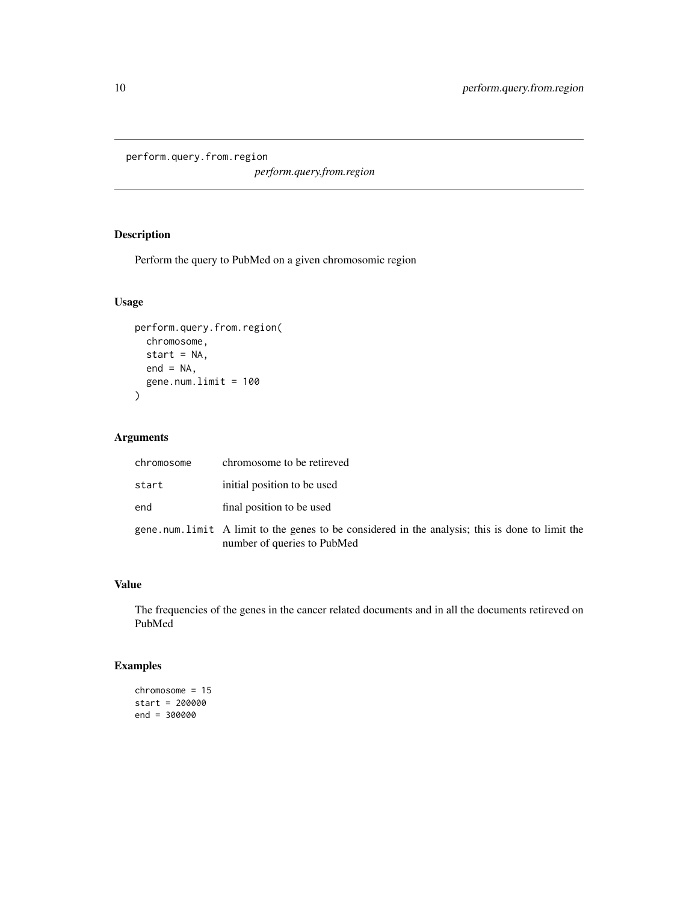<span id="page-9-0"></span>perform.query.from.region

*perform.query.from.region*

### Description

Perform the query to PubMed on a given chromosomic region

#### Usage

```
perform.query.from.region(
  chromosome,
  start = NA,
  end = NA,
  gene.num.limit = 100
\mathcal{L}
```
#### Arguments

| chromosome | chromosome to be retireved                                                                                                     |
|------------|--------------------------------------------------------------------------------------------------------------------------------|
| start      | initial position to be used                                                                                                    |
| end        | final position to be used                                                                                                      |
|            | gene num limit A limit to the genes to be considered in the analysis; this is done to limit the<br>number of queries to PubMed |

#### Value

The frequencies of the genes in the cancer related documents and in all the documents retireved on PubMed

```
chromosome = 15
start = 200000
end = 300000
```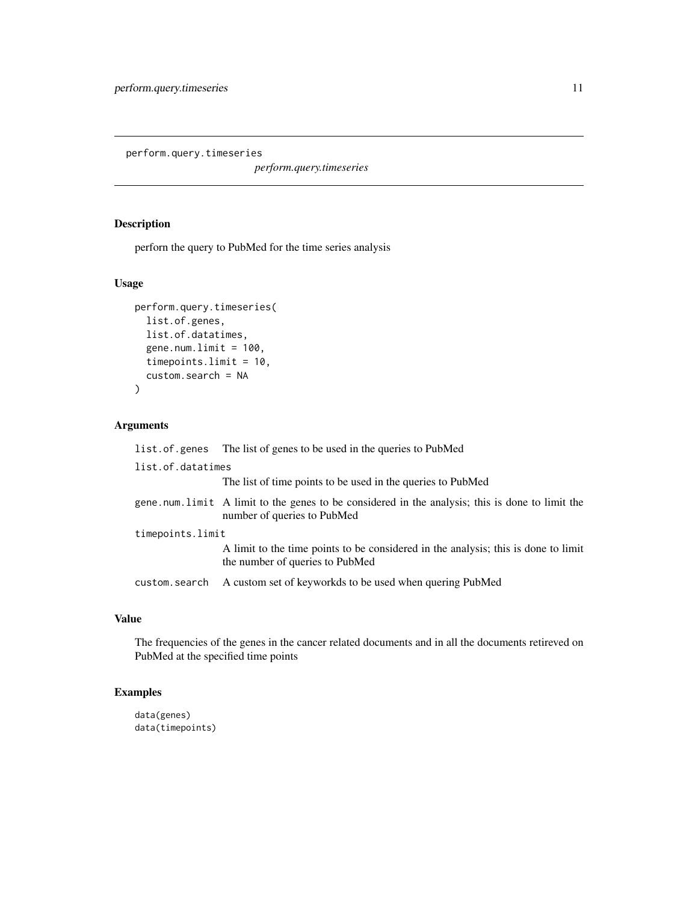<span id="page-10-0"></span>perform.query.timeseries

*perform.query.timeseries*

#### Description

perforn the query to PubMed for the time series analysis

#### Usage

```
perform.query.timeseries(
 list.of.genes,
 list.of.datatimes,
  gene.num.limit = 100,timepoints.limit = 10,
  custom.search = NA
)
```
#### Arguments

|                   | list. of. genes The list of genes to be used in the queries to PubMed                                                          |  |
|-------------------|--------------------------------------------------------------------------------------------------------------------------------|--|
| list.of.datatimes |                                                                                                                                |  |
|                   | The list of time points to be used in the queries to PubMed                                                                    |  |
|                   | gene num limit A limit to the genes to be considered in the analysis; this is done to limit the<br>number of queries to PubMed |  |
| timepoints.limit  |                                                                                                                                |  |
|                   | A limit to the time points to be considered in the analysis; this is done to limit<br>the number of queries to PubMed          |  |
| custom.search     | A custom set of keyworkds to be used when quering PubMed                                                                       |  |

#### Value

The frequencies of the genes in the cancer related documents and in all the documents retireved on PubMed at the specified time points

```
data(genes)
data(timepoints)
```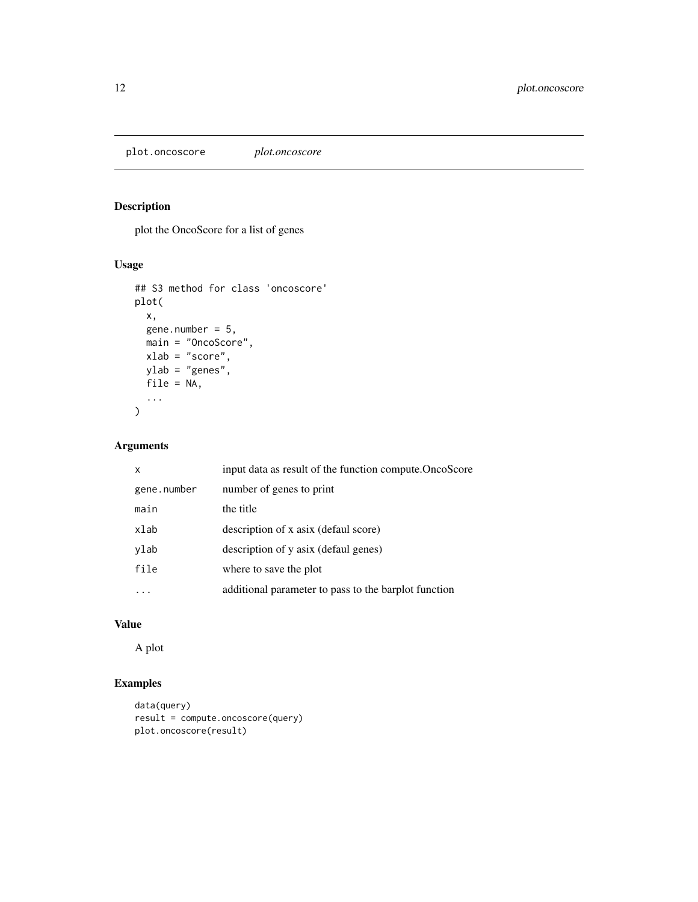<span id="page-11-0"></span>plot.oncoscore *plot.oncoscore*

### Description

plot the OncoScore for a list of genes

#### Usage

```
## S3 method for class 'oncoscore'
plot(
 x,
 gene.number = 5,
 main = "OncoScore",
 xlab = "score",
 ylab = "genes",
 file = NA,
  ...
)
```
### Arguments

| x           | input data as result of the function compute. OncoScore |
|-------------|---------------------------------------------------------|
| gene.number | number of genes to print                                |
| main        | the title                                               |
| xlab        | description of x asix (defaul score)                    |
| ylab        | description of y asix (defaul genes)                    |
| file        | where to save the plot                                  |
|             | additional parameter to pass to the barplot function    |
|             |                                                         |

#### Value

A plot

```
data(query)
result = compute.oncoscore(query)
plot.oncoscore(result)
```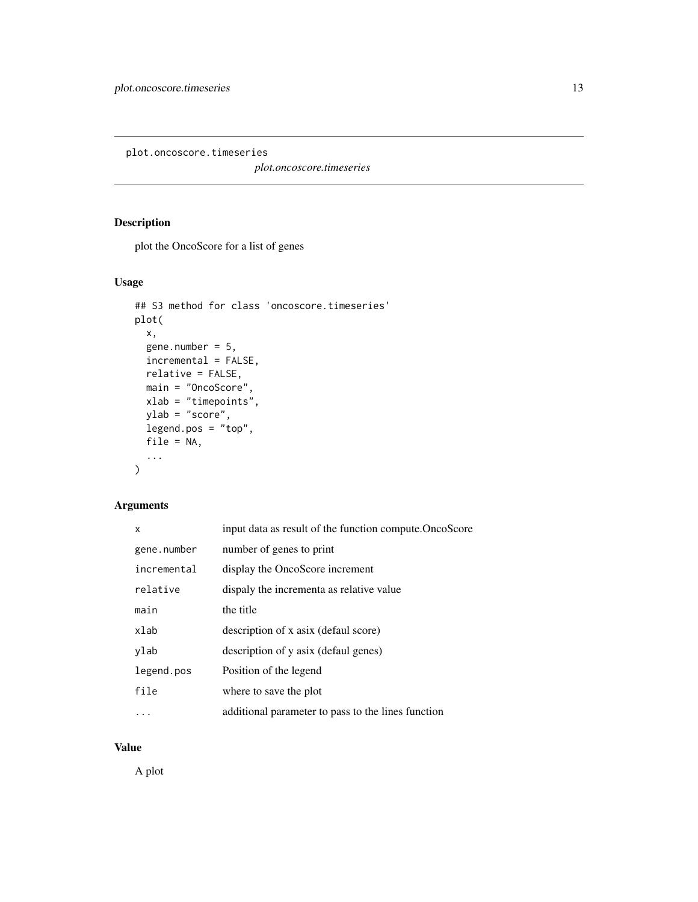<span id="page-12-0"></span>plot.oncoscore.timeseries

*plot.oncoscore.timeseries*

#### Description

plot the OncoScore for a list of genes

#### Usage

```
## S3 method for class 'oncoscore.timeseries'
plot(
 x,
 gene.number = 5,
 incremental = FALSE,
 relative = FALSE,
 main = "OncoScore",
 xlab = "timepoints",
 ylab = "score",
 legend.pos = "top",
 file = NA,
  ...
)
```
#### Arguments

| x           | input data as result of the function compute. OncoScore |
|-------------|---------------------------------------------------------|
| gene.number | number of genes to print                                |
| incremental | display the OncoScore increment                         |
| relative    | dispaly the incrementa as relative value                |
| main        | the title                                               |
| xlab        | description of x asix (defaul score)                    |
| ylab        | description of y asix (defaul genes)                    |
| legend.pos  | Position of the legend                                  |
| file        | where to save the plot                                  |
|             | additional parameter to pass to the lines function      |

#### Value

A plot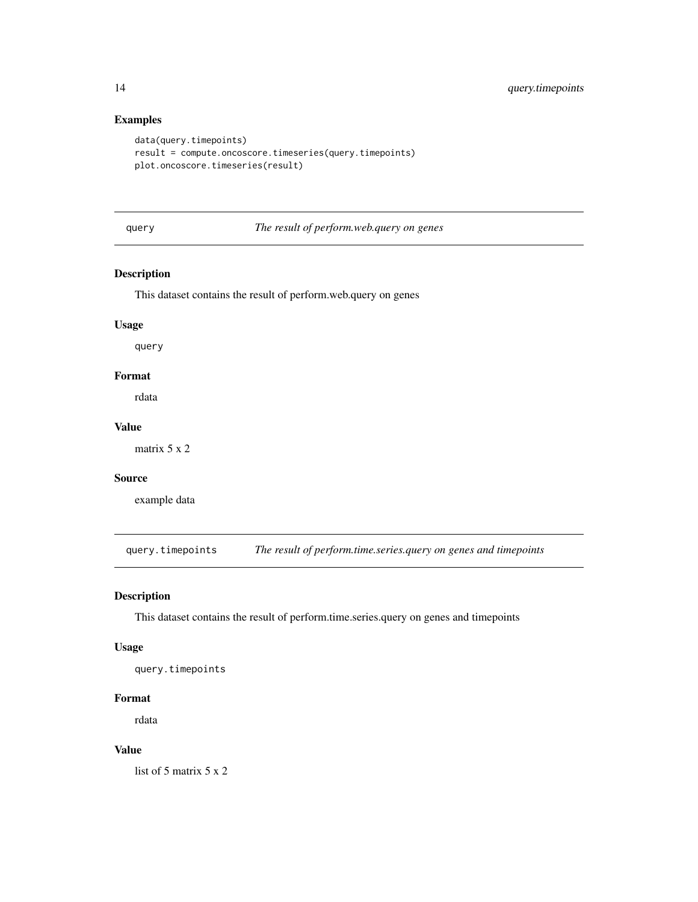#### Examples

```
data(query.timepoints)
result = compute.oncoscore.timeseries(query.timepoints)
plot.oncoscore.timeseries(result)
```
query *The result of perform.web.query on genes*

#### Description

This dataset contains the result of perform.web.query on genes

#### Usage

query

#### Format

rdata

#### Value

matrix 5 x 2

#### Source

example data

query.timepoints *The result of perform.time.series.query on genes and timepoints*

#### Description

This dataset contains the result of perform.time.series.query on genes and timepoints

#### Usage

query.timepoints

#### Format

rdata

#### Value

list of 5 matrix 5 x 2

<span id="page-13-0"></span>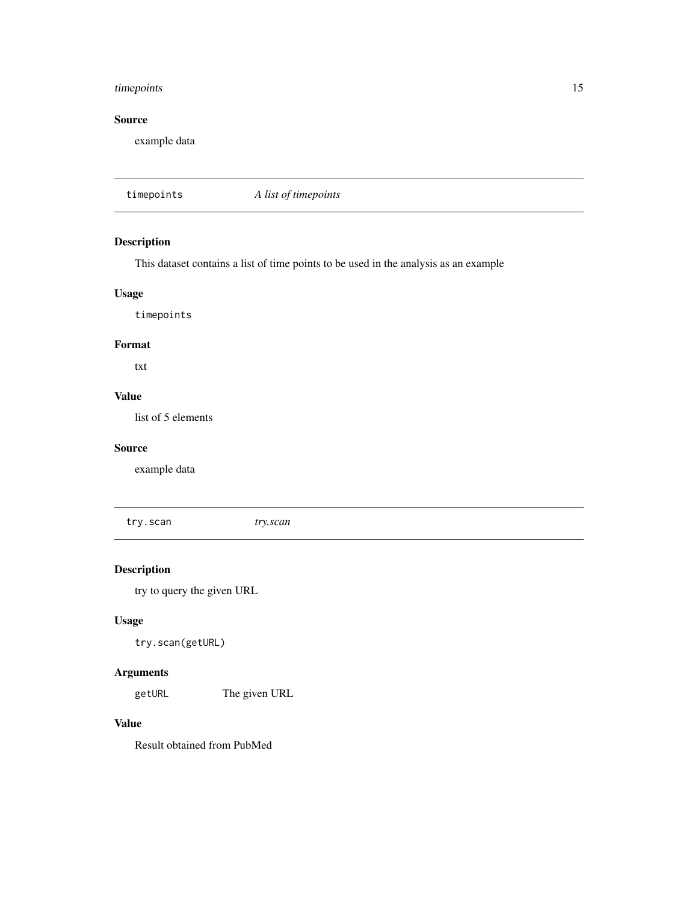#### <span id="page-14-0"></span>timepoints 15

#### Source

example data

timepoints *A list of timepoints*

#### Description

This dataset contains a list of time points to be used in the analysis as an example

#### Usage

timepoints

#### Format

txt

### Value

list of 5 elements

#### Source

example data

try.scan *try.scan*

#### Description

try to query the given URL

#### Usage

try.scan(getURL)

#### Arguments

getURL The given URL

#### Value

Result obtained from PubMed